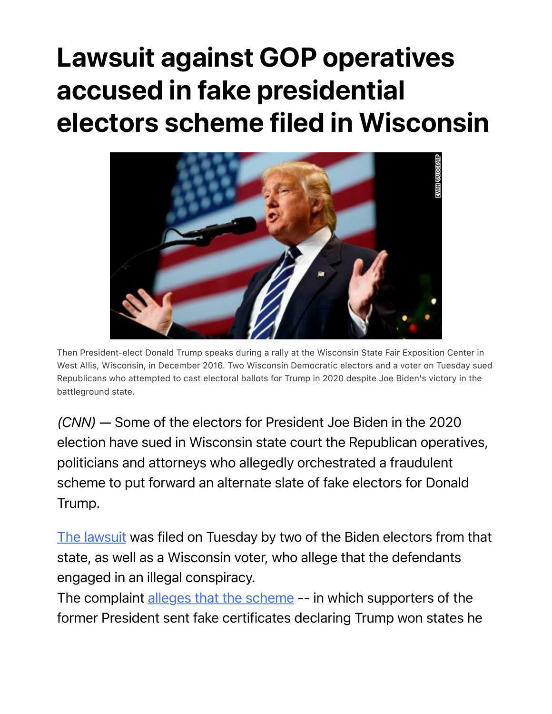## Lawsuit against GOP operatives accused in fake presidential electors scheme filed in Wisconsin



Then President-elect Donald Trump speaks during a rally at the Wisconsin State Fair Exposition Center in West Allis, Wisconsin, in December 2016. Two Wisconsin Democratic electors and a voter on Tuesday sued Republicans who attempted to cast electoral ballots for Trump in 2020 despite Joe Biden's victory in the battleground state.

*(CNN)* — Some of the electors for President Joe Biden in the 2020 election have sued in Wisconsin state court the Republican operatives, politicians and attorneys who allegedly orchestrated a fraudulent scheme to put forward an alternate slate of fake electors for Donald Trump.

The lawsuit was filed on Tuesday by two of the Biden electors from that state, as well as a Wisconsin voter, who allege that the defendants engaged in an illegal conspiracy.

The complaint alleges that the scheme -- in which supporters of the former President sent fake certificates declaring Trump won states he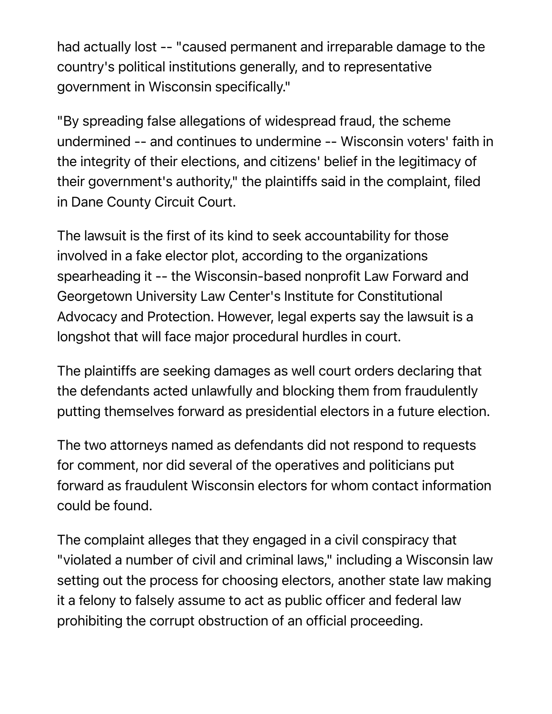had actually lost -- "caused permanent and irreparable damage to the country's political institutions generally, and to representative government in Wisconsin specifically."

"By spreading false allegations of widespread fraud, the scheme undermined -- and continues to undermine -- Wisconsin voters' faith in the integrity of their elections, and citizens' belief in the legitimacy of their government's authority," the plaintiffs said in the complaint, filed in Dane County Circuit Court.

The lawsuit is the first of its kind to seek accountability for those involved in a fake elector plot, according to the organizations spearheading it -- the Wisconsin-based nonprofit Law Forward and Georgetown University Law Center's Institute for Constitutional Advocacy and Protection. However, legal experts say the lawsuit is a longshot that will face major procedural hurdles in court.

The plaintiffs are seeking damages as well court orders declaring that the defendants acted unlawfully and blocking them from fraudulently putting themselves forward as presidential electors in a future election.

The two attorneys named as defendants did not respond to requests for comment, nor did several of the operatives and politicians put forward as fraudulent Wisconsin electors for whom contact information could be found.

The complaint alleges that they engaged in a civil conspiracy that "violated a number of civil and criminal laws," including a Wisconsin law setting out the process for choosing electors, another state law making it a felony to falsely assume to act as public officer and federal law prohibiting the corrupt obstruction of an official proceeding.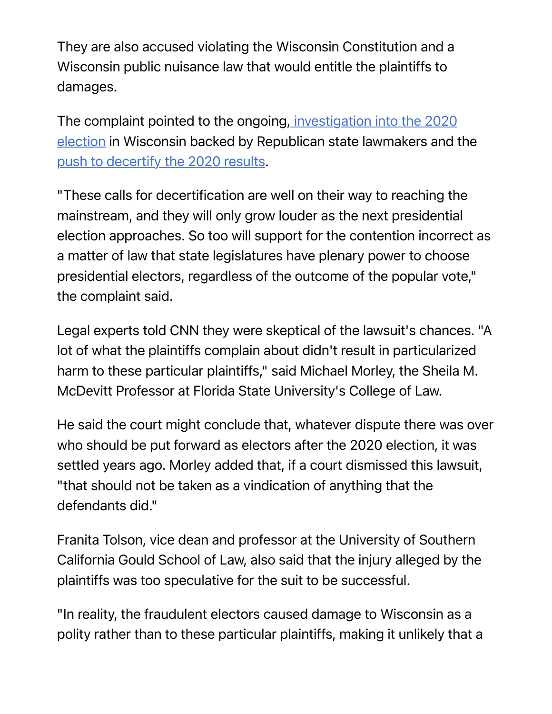They are also accused violating the Wisconsin Constitution and a Wisconsin public nuisance law that would entitle the plaintiffs to damages.

The complaint pointed to the ongoing, investigation into the 2020 election in Wisconsin backed by Republican state lawmakers and the push to decertify the 2020 results.

"These calls for decertification are well on their way to reaching the mainstream, and they will only grow louder as the next presidential election approaches. So too will support for the contention incorrect as a matter of law that state legislatures have plenary power to choose presidential electors, regardless of the outcome of the popular vote," the complaint said.

Legal experts told CNN they were skeptical of the lawsuit's chances. "A lot of what the plaintiffs complain about didn't result in particularized harm to these particular plaintiffs," said Michael Morley, the Sheila M. McDevitt Professor at Florida State University's College of Law.

He said the court might conclude that, whatever dispute there was over who should be put forward as electors after the 2020 election, it was settled years ago. Morley added that, if a court dismissed this lawsuit, "that should not be taken as a vindication of anything that the defendants did."

Franita Tolson, vice dean and professor at the University of Southern California Gould School of Law, also said that the injury alleged by the plaintiffs was too speculative for the suit to be successful.

"In reality, the fraudulent electors caused damage to Wisconsin as a polity rather than to these particular plaintiffs, making it unlikely that a